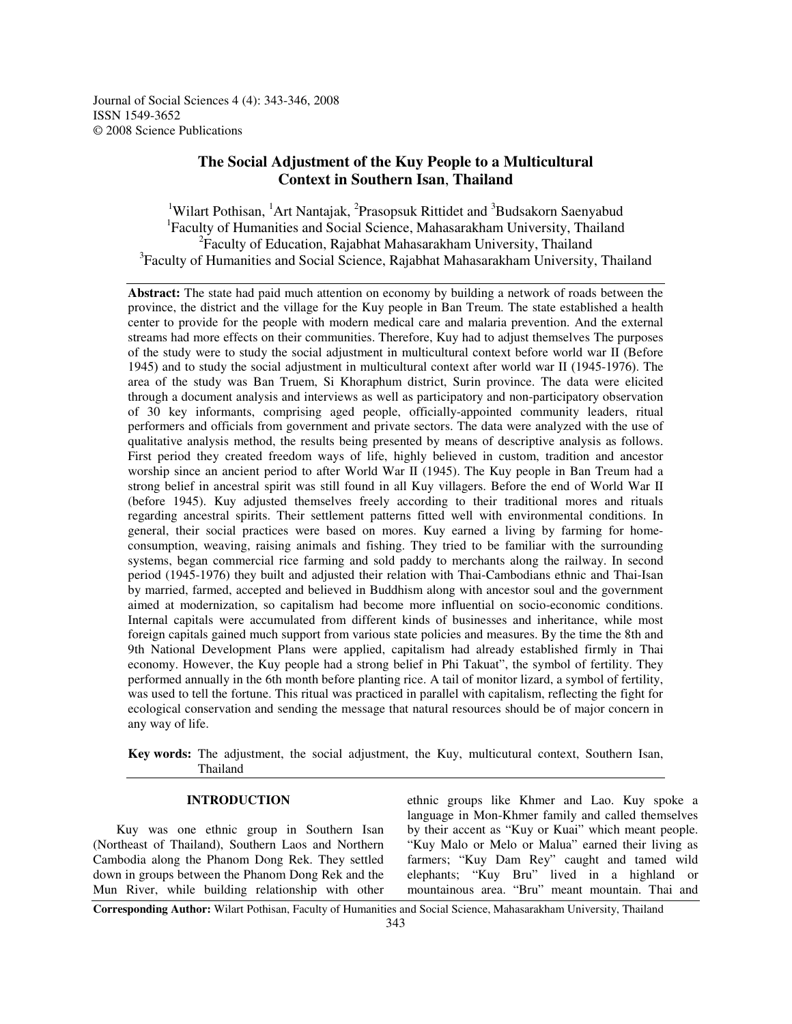Journal of Social Sciences 4 (4): 343-346, 2008 ISSN 1549-3652 © 2008 Science Publications

# **The Social Adjustment of the Kuy People to a Multicultural Context in Southern Isan**, **Thailand**

<sup>1</sup>Wilart Pothisan, <sup>1</sup>Art Nantajak, <sup>2</sup>Prasopsuk Rittidet and <sup>3</sup>Budsakorn Saenyabud <sup>1</sup>Faculty of Humanities and Social Science, Mahasarakham University, Thailand <sup>2</sup> Faculty of Education, Rajabhat Mahasarakham University, Thailand <sup>3</sup>Faculty of Humanities and Social Science, Rajabhat Mahasarakham University, Thailand

**Abstract:** The state had paid much attention on economy by building a network of roads between the province, the district and the village for the Kuy people in Ban Treum. The state established a health center to provide for the people with modern medical care and malaria prevention. And the external streams had more effects on their communities. Therefore, Kuy had to adjust themselves The purposes of the study were to study the social adjustment in multicultural context before world war II Before 1945) and to study the social adjustment in multicultural context after world war II (1945-1976). The area of the study was Ban Truem, Si Khoraphum district, Surin province. The data were elicited through a document analysis and interviews as well as participatory and non-participatory observation of 30 key informants, comprising aged people, officially-appointed community leaders, ritual performers and officials from government and private sectors. The data were analyzed with the use of qualitative analysis method, the results being presented by means of descriptive analysis as follows. First period they created freedom ways of life, highly believed in custom, tradition and ancestor worship since an ancient period to after World War II (1945). The Kuy people in Ban Treum had a strong belief in ancestral spirit was still found in all Kuy villagers. Before the end of World War II (before 1945). Kuy adjusted themselves freely according to their traditional mores and rituals regarding ancestral spirits. Their settlement patterns fitted well with environmental conditions. In general, their social practices were based on mores. Kuy earned a living by farming for homeconsumption, weaving, raising animals and fishing. They tried to be familiar with the surrounding systems, began commercial rice farming and sold paddy to merchants along the railway. In second period (1945-1976) they built and adjusted their relation with Thai-Cambodians ethnic and Thai-Isan by married, farmed, accepted and believed in Buddhism along with ancestor soul and the government aimed at modernization, so capitalism had become more influential on socio-economic conditions. Internal capitals were accumulated from different kinds of businesses and inheritance, while most foreign capitals gained much support from various state policies and measures. By the time the 8th and 9th National Development Plans were applied, capitalism had already established firmly in Thai economy. However, the Kuy people had a strong belief in Phi Takuat", the symbol of fertility. They performed annually in the 6th month before planting rice. A tail of monitor lizard, a symbol of fertility, was used to tell the fortune. This ritual was practiced in parallel with capitalism, reflecting the fight for ecological conservation and sending the message that natural resources should be of major concern in any way of life.

**Key words:** The adjustment, the social adjustment, the Kuy, multicutural context, Southern Isan, Thailand

#### **INTRODUCTION**

Kuy was one ethnic group in Southern Isan (Northeast of Thailand), Southern Laos and Northern Cambodia along the Phanom Dong Rek. They settled down in groups between the Phanom Dong Rek and the Mun River, while building relationship with other ethnic groups like Khmer and Lao. Kuy spoke a language in Mon-Khmer family and called themselves by their accent as "Kuy or Kuai" which meant people. "Kuy Malo or Melo or Malua" earned their living as farmers; "Kuy Dam Rey" caught and tamed wild elephants; "Kuy Bru" lived in a highland or mountainous area. "Bru" meant mountain. Thai and

**Corresponding Author:** Wilart Pothisan, Faculty of Humanities and Social Science, Mahasarakham University, Thailand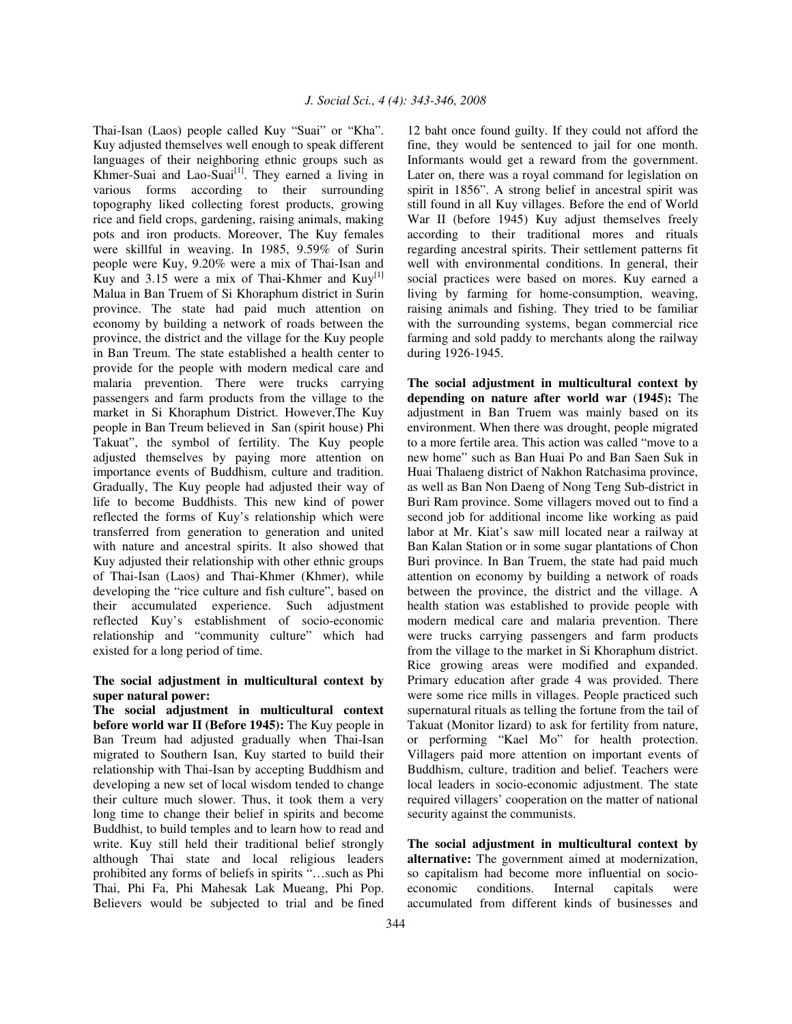Thai-Isan (Laos) people called Kuy "Suai" or "Kha". Kuy adjusted themselves well enough to speak different languages of their neighboring ethnic groups such as Khmer-Suai and Lao-Suai<sup>[1]</sup>. They earned a living in various forms according to their surrounding topography liked collecting forest products, growing rice and field crops, gardening, raising animals, making pots and iron products. Moreover, The Kuy females were skillful in weaving. In 1985, 9.59% of Surin people were Kuy, 9.20% were a mix of Thai-Isan and Kuy and 3.15 were a mix of Thai-Khmer and  $Kuy^{[1]}$ Malua in Ban Truem of Si Khoraphum district in Surin province. The state had paid much attention on economy by building a network of roads between the province, the district and the village for the Kuy people in Ban Treum. The state established a health center to provide for the people with modern medical care and malaria prevention. There were trucks carrying passengers and farm products from the village to the market in Si Khoraphum District. However,The Kuy people in Ban Treum believed in San (spirit house) Phi Takuat", the symbol of fertility. The Kuy people adjusted themselves by paying more attention on importance events of Buddhism, culture and tradition. Gradually, The Kuy people had adjusted their way of life to become Buddhists. This new kind of power reflected the forms of Kuy's relationship which were transferred from generation to generation and united with nature and ancestral spirits. It also showed that Kuy adjusted their relationship with other ethnic groups of Thai-Isan (Laos) and Thai-Khmer (Khmer), while developing the "rice culture and fish culture", based on their accumulated experience. Such adjustment reflected Kuy's establishment of socio-economic relationship and "community culture" which had existed for a long period of time.

## **The social adjustment in multicultural context by super natural power:**

**The social adjustment in multicultural context before world war II (Before 1945):** The Kuy people in Ban Treum had adjusted gradually when Thai-Isan migrated to Southern Isan, Kuy started to build their relationship with Thai-Isan by accepting Buddhism and developing a new set of local wisdom tended to change their culture much slower. Thus, it took them a very long time to change their belief in spirits and become Buddhist, to build temples and to learn how to read and write. Kuy still held their traditional belief strongly although Thai state and local religious leaders prohibited any forms of beliefs in spirits "…such as Phi Thai, Phi Fa, Phi Mahesak Lak Mueang, Phi Pop. Believers would be subjected to trial and be fined

12 baht once found guilty. If they could not afford the fine, they would be sentenced to jail for one month. Informants would get a reward from the government. Later on, there was a royal command for legislation on spirit in 1856". A strong belief in ancestral spirit was still found in all Kuy villages. Before the end of World War II (before 1945) Kuy adjust themselves freely according to their traditional mores and rituals regarding ancestral spirits. Their settlement patterns fit well with environmental conditions. In general, their social practices were based on mores. Kuy earned a living by farming for home-consumption, weaving, raising animals and fishing. They tried to be familiar with the surrounding systems, began commercial rice farming and sold paddy to merchants along the railway during 1926-1945.

**The social adjustment in multicultural context by depending on nature after world war 1945**-**:** The adjustment in Ban Truem was mainly based on its environment. When there was drought, people migrated to a more fertile area. This action was called "move to a new home" such as Ban Huai Po and Ban Saen Suk in Huai Thalaeng district of Nakhon Ratchasima province, as well as Ban Non Daeng of Nong Teng Sub-district in Buri Ram province. Some villagers moved out to find a second job for additional income like working as paid labor at Mr. Kiat's saw mill located near a railway at Ban Kalan Station or in some sugar plantations of Chon Buri province. In Ban Truem, the state had paid much attention on economy by building a network of roads between the province, the district and the village. A health station was established to provide people with modern medical care and malaria prevention. There were trucks carrying passengers and farm products from the village to the market in Si Khoraphum district. Rice growing areas were modified and expanded. Primary education after grade 4 was provided. There were some rice mills in villages. People practiced such supernatural rituals as telling the fortune from the tail of Takuat (Monitor lizard) to ask for fertility from nature, or performing "Kael Mo" for health protection. Villagers paid more attention on important events of Buddhism, culture, tradition and belief. Teachers were local leaders in socio-economic adjustment. The state required villagers' cooperation on the matter of national security against the communists.

**The social adjustment in multicultural context by alternative:** The government aimed at modernization, so capitalism had become more influential on socioeconomic conditions. Internal capitals were accumulated from different kinds of businesses and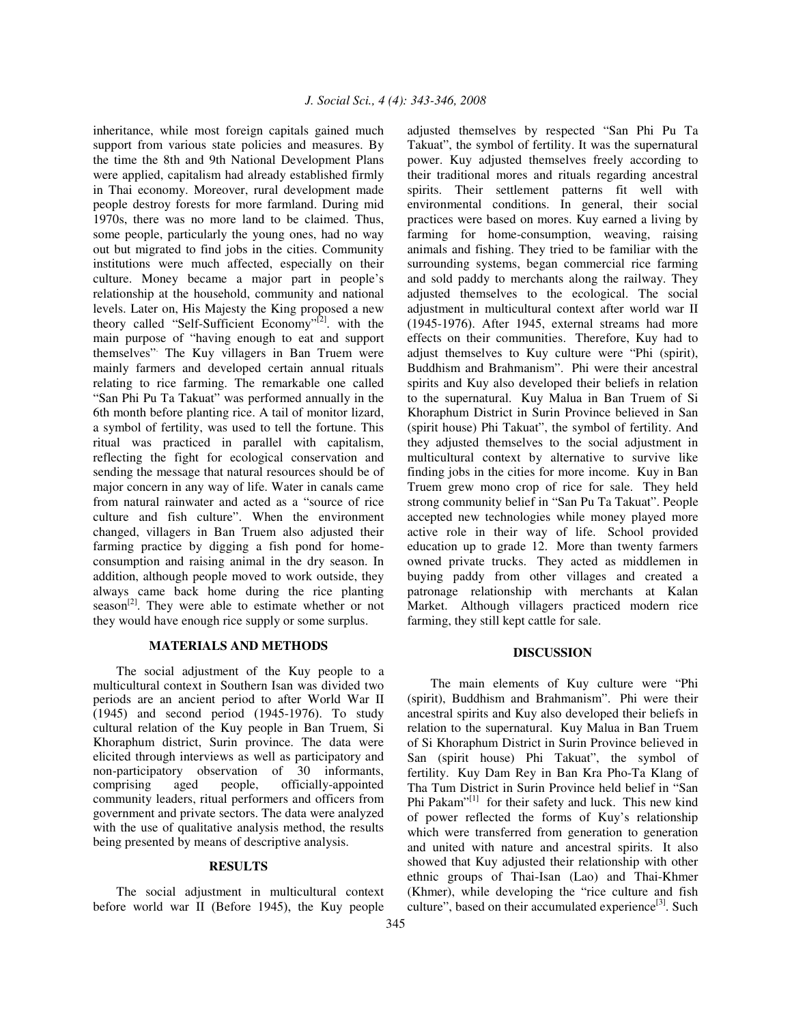inheritance, while most foreign capitals gained much support from various state policies and measures. By the time the 8th and 9th National Development Plans were applied, capitalism had already established firmly in Thai economy. Moreover, rural development made people destroy forests for more farmland. During mid 1970s, there was no more land to be claimed. Thus, some people, particularly the young ones, had no way out but migrated to find jobs in the cities. Community institutions were much affected, especially on their culture. Money became a major part in people's relationship at the household, community and national levels. Later on, His Majesty the King proposed a new theory called "Self-Sufficient Economy"<sup>[2]</sup>. with the main purpose of "having enough to eat and support themselves" . The Kuy villagers in Ban Truem were mainly farmers and developed certain annual rituals relating to rice farming. The remarkable one called "San Phi Pu Ta Takuat" was performed annually in the 6th month before planting rice. A tail of monitor lizard, a symbol of fertility, was used to tell the fortune. This ritual was practiced in parallel with capitalism, reflecting the fight for ecological conservation and sending the message that natural resources should be of major concern in any way of life. Water in canals came from natural rainwater and acted as a "source of rice culture and fish culture". When the environment changed, villagers in Ban Truem also adjusted their farming practice by digging a fish pond for homeconsumption and raising animal in the dry season. In addition, although people moved to work outside, they always came back home during the rice planting season<sup>[2]</sup>. They were able to estimate whether or not they would have enough rice supply or some surplus.

## **MATERIALS AND METHODS**

The social adjustment of the Kuy people to a multicultural context in Southern Isan was divided two periods are an ancient period to after World War II (1945) and second period (1945-1976). To study cultural relation of the Kuy people in Ban Truem, Si Khoraphum district, Surin province. The data were elicited through interviews as well as participatory and non-participatory observation of 30 informants, comprising aged people, officially-appointed community leaders, ritual performers and officers from government and private sectors. The data were analyzed with the use of qualitative analysis method, the results being presented by means of descriptive analysis.

### **RESULTS**

The social adjustment in multicultural context before world war II (Before 1945), the Kuy people

adjusted themselves by respected "San Phi Pu Ta Takuat", the symbol of fertility. It was the supernatural power. Kuy adjusted themselves freely according to their traditional mores and rituals regarding ancestral spirits. Their settlement patterns fit well with environmental conditions. In general, their social practices were based on mores. Kuy earned a living by farming for home-consumption, weaving, raising animals and fishing. They tried to be familiar with the surrounding systems, began commercial rice farming and sold paddy to merchants along the railway. They adjusted themselves to the ecological. The social adjustment in multicultural context after world war II (1945-1976). After 1945, external streams had more effects on their communities. Therefore, Kuy had to adjust themselves to Kuy culture were "Phi (spirit), Buddhism and Brahmanism". Phi were their ancestral spirits and Kuy also developed their beliefs in relation to the supernatural. Kuy Malua in Ban Truem of Si Khoraphum District in Surin Province believed in San (spirit house) Phi Takuat", the symbol of fertility. And they adjusted themselves to the social adjustment in multicultural context by alternative to survive like finding jobs in the cities for more income. Kuy in Ban Truem grew mono crop of rice for sale. They held strong community belief in "San Pu Ta Takuat". People accepted new technologies while money played more active role in their way of life. School provided education up to grade 12. More than twenty farmers owned private trucks. They acted as middlemen in buying paddy from other villages and created a patronage relationship with merchants at Kalan Market. Although villagers practiced modern rice farming, they still kept cattle for sale.

### **DISCUSSION**

The main elements of Kuy culture were "Phi (spirit), Buddhism and Brahmanism". Phi were their ancestral spirits and Kuy also developed their beliefs in relation to the supernatural. Kuy Malua in Ban Truem of Si Khoraphum District in Surin Province believed in San (spirit house) Phi Takuat", the symbol of fertility. Kuy Dam Rey in Ban Kra Pho-Ta Klang of Tha Tum District in Surin Province held belief in "San Phi Pakam"<sup>[1]</sup> for their safety and luck. This new kind of power reflected the forms of Kuy's relationship which were transferred from generation to generation and united with nature and ancestral spirits. It also showed that Kuy adjusted their relationship with other ethnic groups of Thai-Isan (Lao) and Thai-Khmer (Khmer), while developing the "rice culture and fish culture", based on their accumulated experience<sup>[3]</sup>. Such